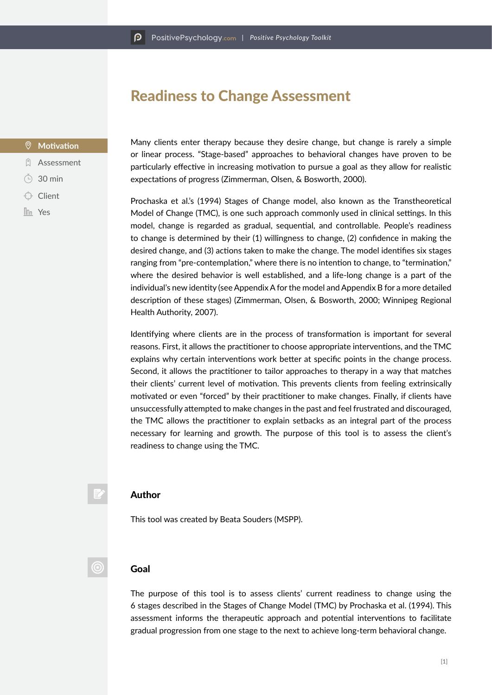## Readiness to Change Assessment

#### **Motivation**

- **Q** Assessment
- 30 min
- $\bigcirc$  Client
- **In** Yes

Many clients enter therapy because they desire change, but change is rarely a simple or linear process. "Stage-based" approaches to behavioral changes have proven to be particularly effective in increasing motivation to pursue a goal as they allow for realistic expectations of progress (Zimmerman, Olsen, & Bosworth, 2000).

Prochaska et al.'s (1994) Stages of Change model, also known as the Transtheoretical Model of Change (TMC), is one such approach commonly used in clinical settings. In this model, change is regarded as gradual, sequential, and controllable. People's readiness to change is determined by their (1) willingness to change, (2) confidence in making the desired change, and (3) actions taken to make the change. The model identifies six stages ranging from "pre-contemplation," where there is no intention to change, to "termination," where the desired behavior is well established, and a life-long change is a part of the individual's new identity (see Appendix A for the model and Appendix B for a more detailed description of these stages) (Zimmerman, Olsen, & Bosworth, 2000; Winnipeg Regional Health Authority, 2007).

Identifying where clients are in the process of transformation is important for several reasons. First, it allows the practitioner to choose appropriate interventions, and the TMC explains why certain interventions work better at specific points in the change process. Second, it allows the practitioner to tailor approaches to therapy in a way that matches their clients' current level of motivation. This prevents clients from feeling extrinsically motivated or even "forced" by their practitioner to make changes. Finally, if clients have unsuccessfully attempted to make changes in the past and feel frustrated and discouraged, the TMC allows the practitioner to explain setbacks as an integral part of the process necessary for learning and growth. The purpose of this tool is to assess the client's readiness to change using the TMC.

#### Author

This tool was created by Beata Souders (MSPP).

#### Goal

 $\odot$ 

The purpose of this tool is to assess clients' current readiness to change using the 6 stages described in the Stages of Change Model (TMC) by Prochaska et al. (1994). This assessment informs the therapeutic approach and potential interventions to facilitate gradual progression from one stage to the next to achieve long-term behavioral change.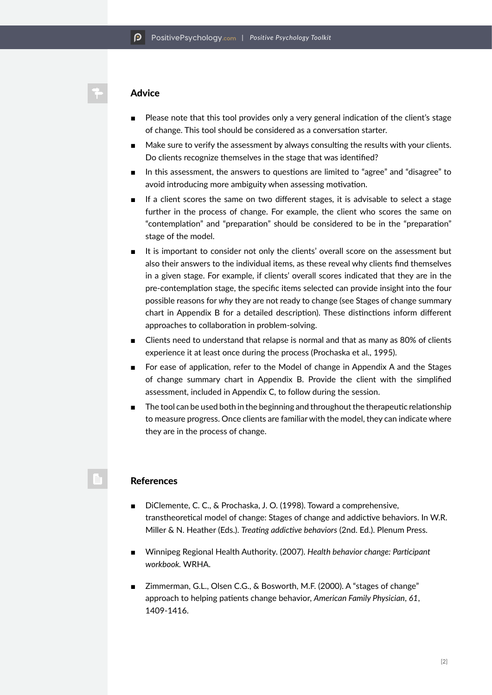### Advice

- Please note that this tool provides only a very general indication of the client's stage of change. This tool should be considered as a conversation starter.
- Make sure to verify the assessment by always consulting the results with your clients. Do clients recognize themselves in the stage that was identified?
- In this assessment, the answers to questions are limited to "agree" and "disagree" to avoid introducing more ambiguity when assessing motivation.
- If a client scores the same on two different stages, it is advisable to select a stage further in the process of change. For example, the client who scores the same on "contemplation" and "preparation" should be considered to be in the "preparation" stage of the model.
- It is important to consider not only the clients' overall score on the assessment but also their answers to the individual items, as these reveal why clients find themselves in a given stage. For example, if clients' overall scores indicated that they are in the pre-contemplation stage, the specific items selected can provide insight into the four possible reasons for *why* they are not ready to change (see Stages of change summary chart in Appendix B for a detailed description). These distinctions inform different approaches to collaboration in problem-solving.
- Clients need to understand that relapse is normal and that as many as 80% of clients experience it at least once during the process (Prochaska et al., 1995).
- For ease of application, refer to the Model of change in Appendix A and the Stages of change summary chart in Appendix B. Provide the client with the simplified assessment, included in Appendix C, to follow during the session.
- The tool can be used both in the beginning and throughout the therapeutic relationship to measure progress. Once clients are familiar with the model, they can indicate where they are in the process of change.

#### References

- DiClemente, C. C., & Prochaska, J. O. (1998). Toward a comprehensive, transtheoretical model of change: Stages of change and addictive behaviors. In W.R. Miller & N. Heather (Eds.). *Treating addictive behaviors* (2nd. Ed.). Plenum Press.
- Winnipeg Regional Health Authority. (2007). *Health behavior change: Participant workbook.* WRHA.
- Zimmerman, G.L., Olsen C.G., & Bosworth, M.F. (2000). A "stages of change" approach to helping patients change behavior, *American Family Physician*, *61*, 1409-1416.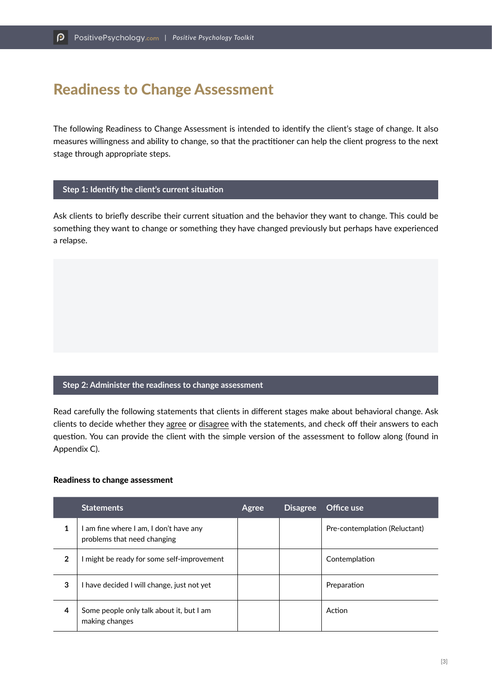# Readiness to Change Assessment

The following Readiness to Change Assessment is intended to identify the client's stage of change. It also measures willingness and ability to change, so that the practitioner can help the client progress to the next stage through appropriate steps.

## **Step 1: Identify the client's current situation**

Ask clients to briefly describe their current situation and the behavior they want to change. This could be something they want to change or something they have changed previously but perhaps have experienced a relapse.

## **Step 2: Administer the readiness to change assessment**

Read carefully the following statements that clients in different stages make about behavioral change. Ask clients to decide whether they agree or disagree with the statements, and check off their answers to each question. You can provide the client with the simple version of the assessment to follow along (found in Appendix C).

#### Readiness to change assessment

|                | <b>Statements</b>                                                     | Agree | Disagree | Office use                    |
|----------------|-----------------------------------------------------------------------|-------|----------|-------------------------------|
| 1              | I am fine where I am, I don't have any<br>problems that need changing |       |          | Pre-contemplation (Reluctant) |
| $\overline{2}$ | I might be ready for some self-improvement                            |       |          | Contemplation                 |
| 3              | I have decided I will change, just not yet                            |       |          | Preparation                   |
| 4              | Some people only talk about it, but I am<br>making changes            |       |          | Action                        |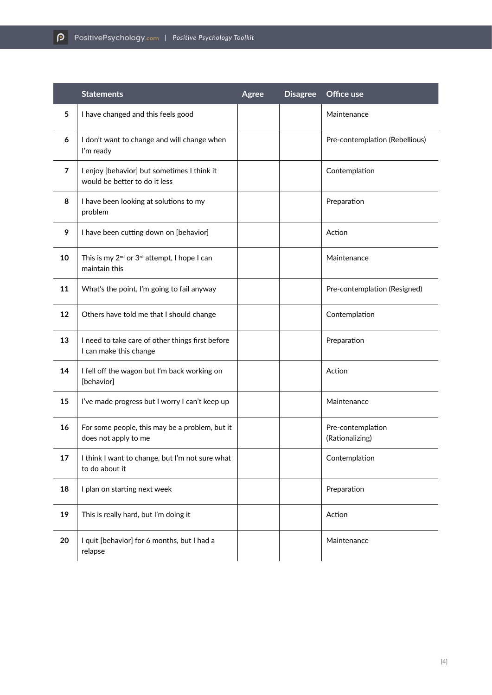|        | <b>Statements</b>                                                                    | Agree | <b>Disagree</b> | Office use                           |  |
|--------|--------------------------------------------------------------------------------------|-------|-----------------|--------------------------------------|--|
| 5      | I have changed and this feels good                                                   |       |                 | Maintenance                          |  |
| 6      | I don't want to change and will change when<br>I'm ready                             |       |                 | Pre-contemplation (Rebellious)       |  |
| 7      | I enjoy [behavior] but sometimes I think it<br>would be better to do it less         |       |                 | Contemplation                        |  |
| 8      | I have been looking at solutions to my<br>problem                                    |       |                 | Preparation                          |  |
| 9      | I have been cutting down on [behavior]                                               |       |                 | Action                               |  |
| 10     | This is my 2 <sup>nd</sup> or 3 <sup>rd</sup> attempt, I hope I can<br>maintain this |       |                 | Maintenance                          |  |
| 11     | What's the point, I'm going to fail anyway                                           |       |                 | Pre-contemplation (Resigned)         |  |
| 12     | Others have told me that I should change                                             |       |                 | Contemplation                        |  |
| 13     | I need to take care of other things first before<br>I can make this change           |       |                 | Preparation                          |  |
| 14     | I fell off the wagon but I'm back working on<br>[behavior]                           |       |                 | Action                               |  |
| 15     | I've made progress but I worry I can't keep up                                       |       |                 | Maintenance                          |  |
| 16     | For some people, this may be a problem, but it<br>does not apply to me               |       |                 | Pre-contemplation<br>(Rationalizing) |  |
| $17\,$ | I think I want to change, but I'm not sure what<br>to do about it                    |       |                 | Contemplation                        |  |
| 18     | I plan on starting next week                                                         |       |                 | Preparation                          |  |
| 19     | This is really hard, but I'm doing it                                                |       |                 | Action                               |  |
| 20     | I quit [behavior] for 6 months, but I had a<br>relapse                               |       |                 | Maintenance                          |  |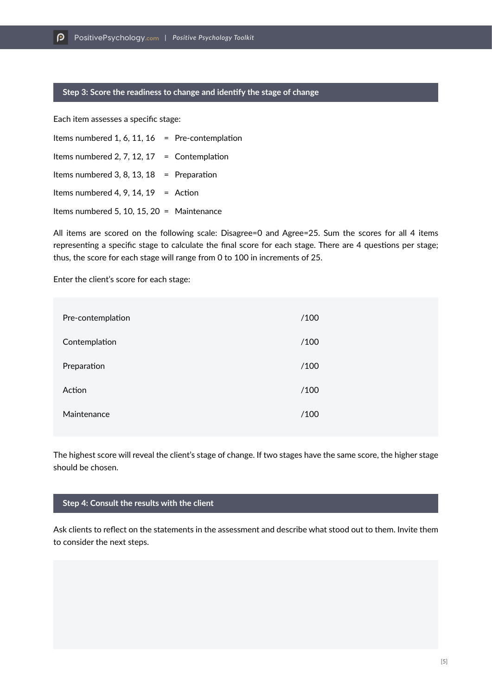#### **Step 3: Score the readiness to change and identify the stage of change**

Each item assesses a specific stage:

Items numbered 1, 6, 11,  $16$  = Pre-contemplation Items numbered 2, 7, 12, 17 = Contemplation Items numbered 3, 8, 13, 18 = Preparation Items numbered 4, 9, 14, 19 = Action Items numbered 5, 10, 15, 20 = Maintenance

All items are scored on the following scale: Disagree=0 and Agree=25. Sum the scores for all 4 items representing a specific stage to calculate the final score for each stage. There are 4 questions per stage; thus, the score for each stage will range from 0 to 100 in increments of 25.

Enter the client's score for each stage:

| Pre-contemplation | /100 |
|-------------------|------|
| Contemplation     | /100 |
| Preparation       | /100 |
| Action            | /100 |
| Maintenance       | /100 |

The highest score will reveal the client's stage of change. If two stages have the same score, the higher stage should be chosen.

#### **Step 4: Consult the results with the client**

Ask clients to reflect on the statements in the assessment and describe what stood out to them. Invite them to consider the next steps.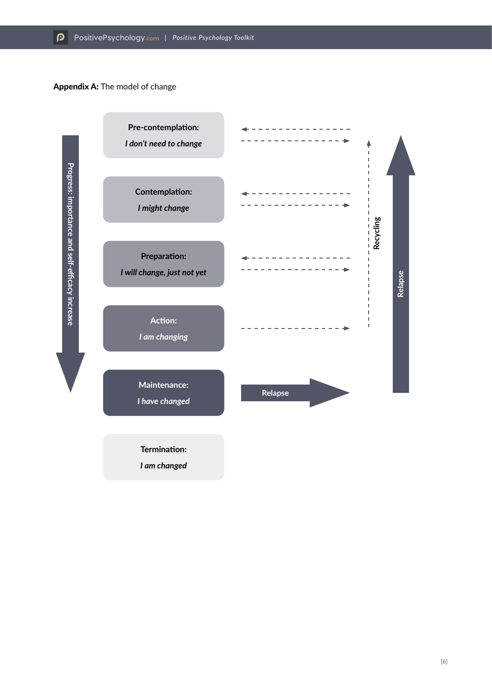## Appendix A: The model of change



[6]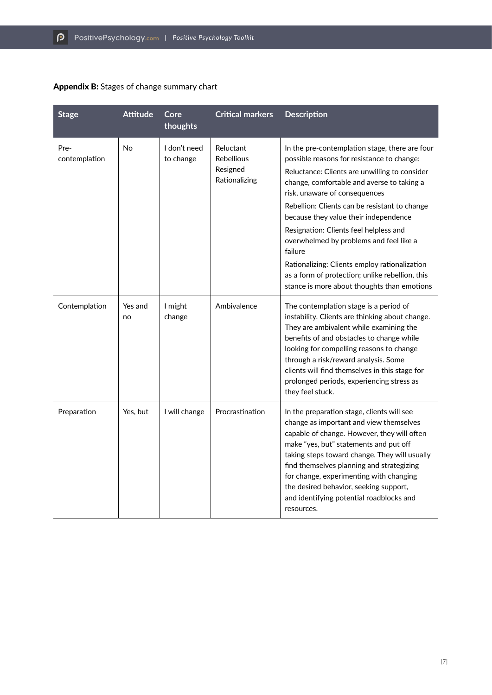| Appendix B: Stages of change summary chart |
|--------------------------------------------|
|--------------------------------------------|

| <b>Stage</b>          | <b>Attitude</b> | Core<br>thoughts          | <b>Critical markers</b>                                     | <b>Description</b>                                                                                                                                                                                                                                                                                                                                                                                                                                                                                                                                                        |
|-----------------------|-----------------|---------------------------|-------------------------------------------------------------|---------------------------------------------------------------------------------------------------------------------------------------------------------------------------------------------------------------------------------------------------------------------------------------------------------------------------------------------------------------------------------------------------------------------------------------------------------------------------------------------------------------------------------------------------------------------------|
| Pre-<br>contemplation | No              | I don't need<br>to change | Reluctant<br><b>Rebellious</b><br>Resigned<br>Rationalizing | In the pre-contemplation stage, there are four<br>possible reasons for resistance to change:<br>Reluctance: Clients are unwilling to consider<br>change, comfortable and averse to taking a<br>risk, unaware of consequences<br>Rebellion: Clients can be resistant to change<br>because they value their independence<br>Resignation: Clients feel helpless and<br>overwhelmed by problems and feel like a<br>failure<br>Rationalizing: Clients employ rationalization<br>as a form of protection; unlike rebellion, this<br>stance is more about thoughts than emotions |
| Contemplation         | Yes and<br>no   | I might<br>change         | Ambivalence                                                 | The contemplation stage is a period of<br>instability. Clients are thinking about change.<br>They are ambivalent while examining the<br>benefits of and obstacles to change while<br>looking for compelling reasons to change<br>through a risk/reward analysis. Some<br>clients will find themselves in this stage for<br>prolonged periods, experiencing stress as<br>they feel stuck.                                                                                                                                                                                  |
| Preparation           | Yes, but        | I will change             | Procrastination                                             | In the preparation stage, clients will see<br>change as important and view themselves<br>capable of change. However, they will often<br>make "yes, but" statements and put off<br>taking steps toward change. They will usually<br>find themselves planning and strategizing<br>for change, experimenting with changing<br>the desired behavior, seeking support,<br>and identifying potential roadblocks and<br>resources.                                                                                                                                               |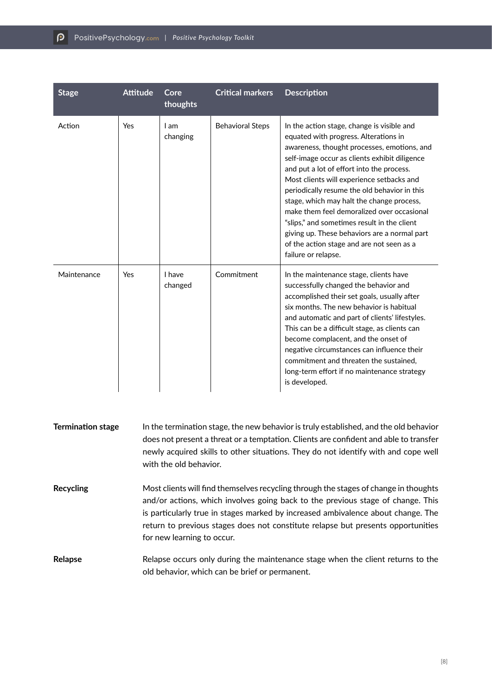| <b>Stage</b> | <b>Attitude</b> | Core<br>thoughts  | <b>Critical markers</b> | <b>Description</b>                                                                                                                                                                                                                                                                                                                                                                                                                                                                                                                                                                          |
|--------------|-----------------|-------------------|-------------------------|---------------------------------------------------------------------------------------------------------------------------------------------------------------------------------------------------------------------------------------------------------------------------------------------------------------------------------------------------------------------------------------------------------------------------------------------------------------------------------------------------------------------------------------------------------------------------------------------|
| Action       | Yes             | I am<br>changing  | <b>Behavioral Steps</b> | In the action stage, change is visible and<br>equated with progress. Alterations in<br>awareness, thought processes, emotions, and<br>self-image occur as clients exhibit diligence<br>and put a lot of effort into the process.<br>Most clients will experience setbacks and<br>periodically resume the old behavior in this<br>stage, which may halt the change process,<br>make them feel demoralized over occasional<br>"slips," and sometimes result in the client<br>giving up. These behaviors are a normal part<br>of the action stage and are not seen as a<br>failure or relapse. |
| Maintenance  | Yes             | I have<br>changed | Commitment              | In the maintenance stage, clients have<br>successfully changed the behavior and<br>accomplished their set goals, usually after<br>six months. The new behavior is habitual<br>and automatic and part of clients' lifestyles.<br>This can be a difficult stage, as clients can<br>become complacent, and the onset of<br>negative circumstances can influence their<br>commitment and threaten the sustained,<br>long-term effort if no maintenance strategy<br>is developed.                                                                                                                |

| <b>Termination stage</b> | In the termination stage, the new behavior is truly established, and the old behavior<br>does not present a threat or a temptation. Clients are confident and able to transfer<br>newly acquired skills to other situations. They do not identify with and cope well<br>with the old behavior.                                                                                |
|--------------------------|-------------------------------------------------------------------------------------------------------------------------------------------------------------------------------------------------------------------------------------------------------------------------------------------------------------------------------------------------------------------------------|
| Recycling                | Most clients will find themselves recycling through the stages of change in thoughts<br>and/or actions, which involves going back to the previous stage of change. This<br>is particularly true in stages marked by increased ambivalence about change. The<br>return to previous stages does not constitute relapse but presents opportunities<br>for new learning to occur. |
| Relapse                  | Relapse occurs only during the maintenance stage when the client returns to the<br>old behavior, which can be brief or permanent.                                                                                                                                                                                                                                             |